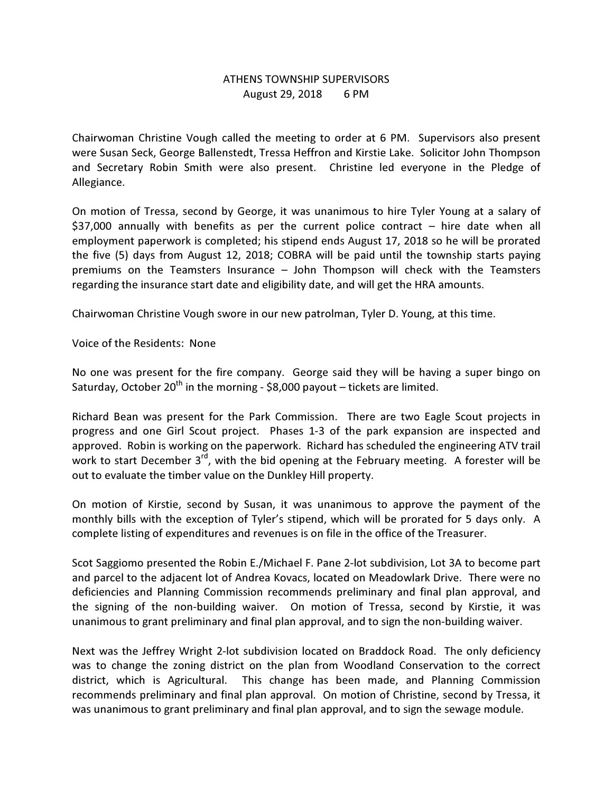## ATHENS TOWNSHIP SUPERVISORS August 29, 2018 6 PM

Chairwoman Christine Vough called the meeting to order at 6 PM. Supervisors also present were Susan Seck, George Ballenstedt, Tressa Heffron and Kirstie Lake. Solicitor John Thompson and Secretary Robin Smith were also present. Christine led everyone in the Pledge of Allegiance.

On motion of Tressa, second by George, it was unanimous to hire Tyler Young at a salary of \$37,000 annually with benefits as per the current police contract – hire date when all employment paperwork is completed; his stipend ends August 17, 2018 so he will be prorated the five (5) days from August 12, 2018; COBRA will be paid until the township starts paying premiums on the Teamsters Insurance – John Thompson will check with the Teamsters regarding the insurance start date and eligibility date, and will get the HRA amounts.

Chairwoman Christine Vough swore in our new patrolman, Tyler D. Young, at this time.

Voice of the Residents: None

No one was present for the fire company. George said they will be having a super bingo on Saturday, October 20<sup>th</sup> in the morning - \$8,000 payout – tickets are limited.

Richard Bean was present for the Park Commission. There are two Eagle Scout projects in progress and one Girl Scout project. Phases 1-3 of the park expansion are inspected and approved. Robin is working on the paperwork. Richard has scheduled the engineering ATV trail work to start December  $3^{rd}$ , with the bid opening at the February meeting. A forester will be out to evaluate the timber value on the Dunkley Hill property.

On motion of Kirstie, second by Susan, it was unanimous to approve the payment of the monthly bills with the exception of Tyler's stipend, which will be prorated for 5 days only. A complete listing of expenditures and revenues is on file in the office of the Treasurer.

Scot Saggiomo presented the Robin E./Michael F. Pane 2-lot subdivision, Lot 3A to become part and parcel to the adjacent lot of Andrea Kovacs, located on Meadowlark Drive. There were no deficiencies and Planning Commission recommends preliminary and final plan approval, and the signing of the non-building waiver. On motion of Tressa, second by Kirstie, it was unanimous to grant preliminary and final plan approval, and to sign the non-building waiver.

Next was the Jeffrey Wright 2-lot subdivision located on Braddock Road. The only deficiency was to change the zoning district on the plan from Woodland Conservation to the correct district, which is Agricultural. This change has been made, and Planning Commission recommends preliminary and final plan approval. On motion of Christine, second by Tressa, it was unanimous to grant preliminary and final plan approval, and to sign the sewage module.